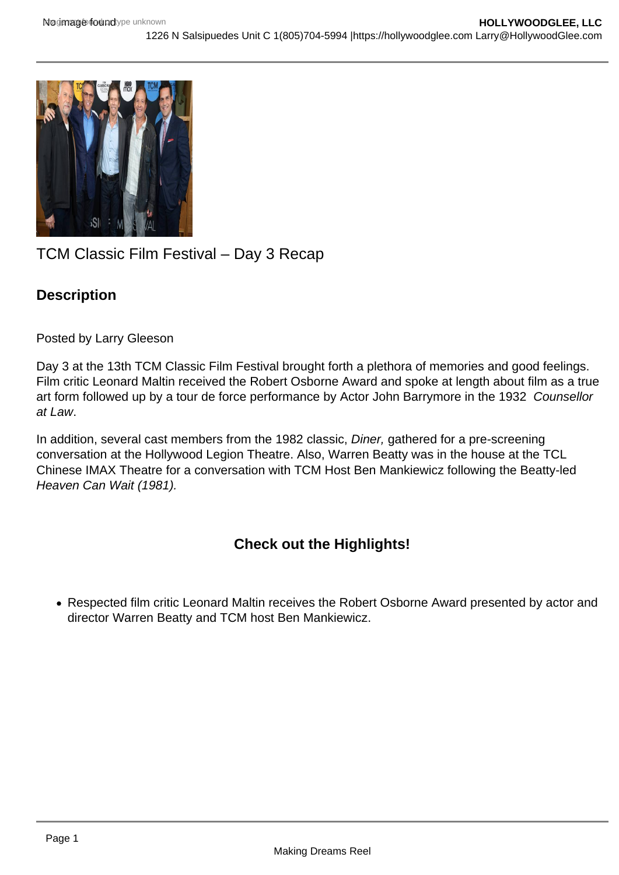

## TCM Classic Film Festival – Day 3 Recap

## **Description**

Posted by Larry Gleeson

Day 3 at the 13th TCM Classic Film Festival brought forth a plethora of memories and good feelings. Film critic Leonard Maltin received the Robert Osborne Award and spoke at length about film as a true art form followed up by a tour de force performance by Actor John Barrymore in the 1932 Counsellor at Law.

In addition, several cast members from the 1982 classic, Diner, gathered for a pre-screening conversation at the Hollywood Legion Theatre. Also, Warren Beatty was in the house at the TCL Chinese IMAX Theatre for a conversation with TCM Host Ben Mankiewicz following the Beatty-led Heaven Can Wait (1981).

## **Check out the Highlights!**

Respected film critic Leonard Maltin receives the Robert Osborne Award presented by actor and director Warren Beatty and TCM host Ben Mankiewicz.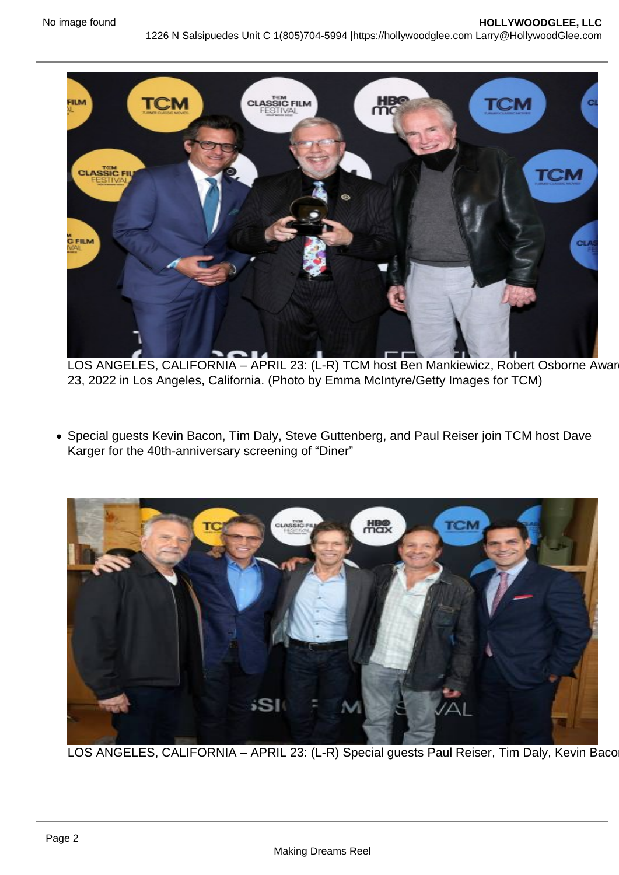LOS ANGELES, CALIFORNIA - APRIL 23: (L-R) TCM host Ben Mankiewicz, Robert Osborne Awar 23, 2022 in Los Angeles, California. (Photo by Emma McIntyre/Getty Images for TCM)

Special guests Kevin Bacon, Tim Daly, Steve Guttenberg, and Paul Reiser join TCM host Dave Karger for the 40th-anniversary screening of "Diner"

LOS ANGELES, CALIFORNIA - APRIL 23: (L-R) Special guests Paul Reiser, Tim Daly, Kevin Baco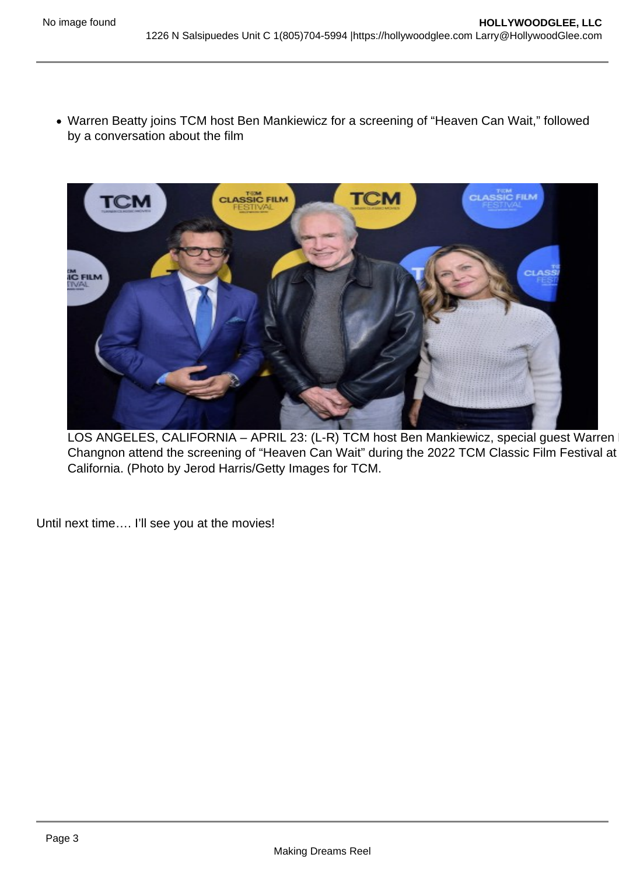Warren Beatty joins TCM host Ben Mankiewicz for a screening of "Heaven Can Wait," followed by a conversation about the film

LOS ANGELES, CALIFORNIA – APRIL 23: (L-R) TCM host Ben Mankiewicz, special guest Warren Changnon attend the screening of "Heaven Can Wait" during the 2022 TCM Classic Film Festival at California. (Photo by Jerod Harris/Getty Images for TCM.

Until next time.... I'll see you at the movies!